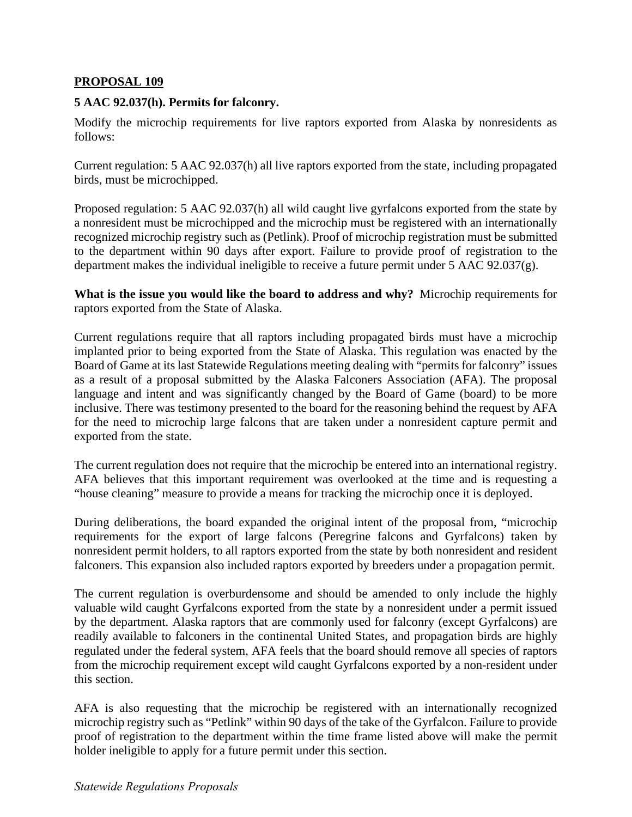## **PROPOSAL 109**

## **5 AAC 92.037(h). Permits for falconry.**

Modify the microchip requirements for live raptors exported from Alaska by nonresidents as follows:

Current regulation: 5 AAC 92.037(h) all live raptors exported from the state, including propagated birds, must be microchipped.

Proposed regulation: 5 AAC 92.037(h) all wild caught live gyrfalcons exported from the state by a nonresident must be microchipped and the microchip must be registered with an internationally recognized microchip registry such as (Petlink). Proof of microchip registration must be submitted to the department within 90 days after export. Failure to provide proof of registration to the department makes the individual ineligible to receive a future permit under 5 AAC 92.037(g).

**What is the issue you would like the board to address and why?** Microchip requirements for raptors exported from the State of Alaska.

Current regulations require that all raptors including propagated birds must have a microchip implanted prior to being exported from the State of Alaska. This regulation was enacted by the Board of Game at its last Statewide Regulations meeting dealing with "permits for falconry" issues as a result of a proposal submitted by the Alaska Falconers Association (AFA). The proposal language and intent and was significantly changed by the Board of Game (board) to be more inclusive. There was testimony presented to the board for the reasoning behind the request by AFA for the need to microchip large falcons that are taken under a nonresident capture permit and exported from the state.

The current regulation does not require that the microchip be entered into an international registry. AFA believes that this important requirement was overlooked at the time and is requesting a "house cleaning" measure to provide a means for tracking the microchip once it is deployed.

During deliberations, the board expanded the original intent of the proposal from, "microchip requirements for the export of large falcons (Peregrine falcons and Gyrfalcons) taken by nonresident permit holders, to all raptors exported from the state by both nonresident and resident falconers. This expansion also included raptors exported by breeders under a propagation permit.

The current regulation is overburdensome and should be amended to only include the highly valuable wild caught Gyrfalcons exported from the state by a nonresident under a permit issued by the department. Alaska raptors that are commonly used for falconry (except Gyrfalcons) are readily available to falconers in the continental United States, and propagation birds are highly regulated under the federal system, AFA feels that the board should remove all species of raptors from the microchip requirement except wild caught Gyrfalcons exported by a non-resident under this section.

AFA is also requesting that the microchip be registered with an internationally recognized microchip registry such as "Petlink" within 90 days of the take of the Gyrfalcon. Failure to provide proof of registration to the department within the time frame listed above will make the permit holder ineligible to apply for a future permit under this section.